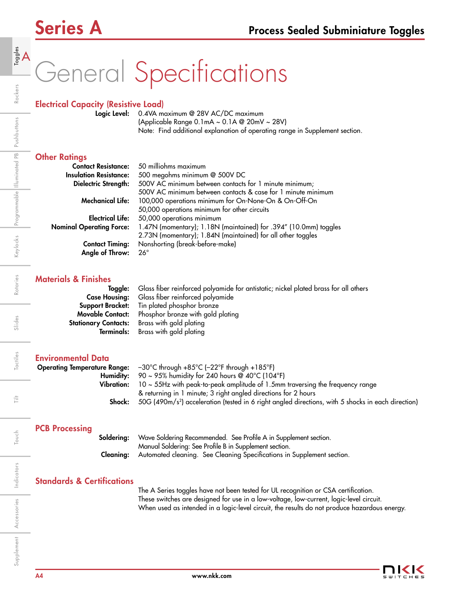# General Specifications

## Electrical Capacity (Resistive Load)

Logic Level: 0.4VA maximum @ 28V AC/DC maximum (Applicable Range 0.1mA ~ 0.1A @ 20mV ~ 28V) Note: Find additional explanation of operating range in Supplement section.

### **Other Ratings**

| <b>Contact Resistance:</b>      | 50 milliohms maximum                                             |
|---------------------------------|------------------------------------------------------------------|
| <b>Insulation Resistance:</b>   | 500 megohms minimum @ 500V DC                                    |
| Dielectric Strength:            | 500V AC minimum between contacts for 1 minute minimum;           |
|                                 | 500V AC minimum between contacts & case for 1 minute minimum     |
| <b>Mechanical Life:</b>         | 100,000 operations minimum for On-None-On & On-Off-On            |
|                                 | 50,000 operations minimum for other circuits                     |
| <b>Electrical Life:</b>         | 50,000 operations minimum                                        |
| <b>Nominal Operating Force:</b> | 1.47N (momentary); 1.18N (maintained) for .394" (10.0mm) toggles |
|                                 | 2.73N (momentary); 1.84N (maintained) for all other toggles      |
| <b>Contact Timing:</b>          | Nonshorting (break-before-make)                                  |
| Angle of Throw:                 | $26^\circ$                                                       |

### Materials & Finishes

| Toggle: Glass fiber reinforced polyamide for antistatic; nickel plated brass for all others |
|---------------------------------------------------------------------------------------------|
| <b>Case Housing:</b> Glass fiber reinforced polyamide                                       |
| <b>Support Bracket:</b> Tin plated phosphor bronze                                          |
| <b>Movable Contact:</b> Phosphor bronze with gold plating                                   |
| <b>Stationary Contacts:</b> Brass with gold plating                                         |
| <b>Terminals:</b> Brass with gold plating                                                   |

### Environmental Data

|        | <b>Operating Temperature Range:</b> $-30^{\circ}$ C through $+85^{\circ}$ C ( $-22^{\circ}$ F through $+185^{\circ}$ F) |
|--------|-------------------------------------------------------------------------------------------------------------------------|
|        | <b>Humidity:</b> 90 ~ 95% humidity for 240 hours @ 40°C (104°F)                                                         |
|        | <b>Vibration:</b> $10 \sim 55$ Hz with peak-to-peak amplitude of 1.5mm traversing the frequency range                   |
|        | & returning in 1 minute; 3 right angled directions for 2 hours                                                          |
| Shock: | 50G (490m/s <sup>2</sup> ) acceleration (tested in 6 right angled directions, with 5 shocks in each direction)          |
|        |                                                                                                                         |

## PCB Processing

| <b>Soldering:</b> Wave Soldering Recommended. See Profile A in Supplement section.      |
|-----------------------------------------------------------------------------------------|
| Manual Soldering: See Profile B in Supplement section.                                  |
| <b>Cleaning:</b> Automated cleaning. See Cleaning Specifications in Supplement section. |

## Standards & Certifications

The A Series toggles have not been tested for UL recognition or CSA certification. These switches are designed for use in a low-voltage, low-current, logic-level circuit. When used as intended in a logic-level circuit, the results do not produce hazardous energy.

Slides

Tactiles

ŧ

Touch

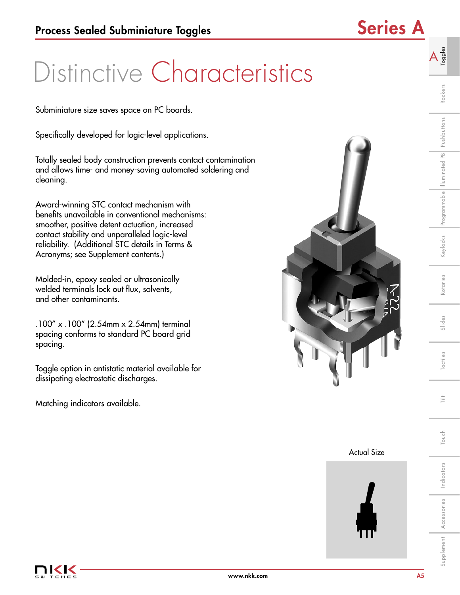## Distinctive Characteristics

Subminiature size saves space on PC boards.

Specifically developed for logic-level applications.

Totally sealed body construction prevents contact contamination and allows time- and money-saving automated soldering and cleaning.

Award-winning STC contact mechanism with benefits unavailable in conventional mechanisms: smoother, positive detent actuation, increased contact stability and unparalleled logic-level reliability. (Additional STC details in Terms & Acronyms; see Supplement contents.)

Molded-in, epoxy sealed or ultrasonically welded terminals lock out flux, solvents, and other contaminants.

.100" x .100" (2.54mm x 2.54mm) terminal spacing conforms to standard PC board grid spacing.

Toggle option in antistatic material available for dissipating electrostatic discharges.

Matching indicators available.



Actual Size



Rockers

A  $\frac{3}{5}$ 

Rotaries

 $\frac{1}{11}$ 

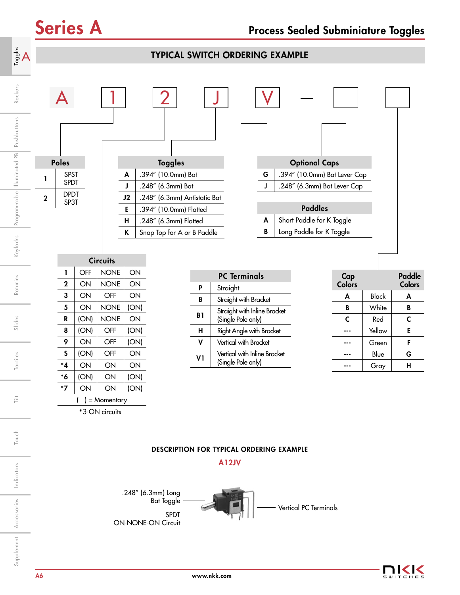| $A_{\text{ggds}}$           |             |                       |           |                            |          | <b>TYPICAL SWITCH ORDERING EXAMPLE</b>                        |           |                                                    |   |                              |                      |              |                         |
|-----------------------------|-------------|-----------------------|-----------|----------------------------|----------|---------------------------------------------------------------|-----------|----------------------------------------------------|---|------------------------------|----------------------|--------------|-------------------------|
| Rockers<br>Pushbuttons      |             |                       |           |                            |          |                                                               |           |                                                    |   |                              |                      |              |                         |
| Programmable Illuminated PB |             | Poles                 |           |                            |          | <b>Toggles</b>                                                |           |                                                    |   | <b>Optional Caps</b>         |                      |              |                         |
|                             |             | <b>SPST</b>           |           |                            | A        | .394" (10.0mm) Bat                                            |           |                                                    | G | .394" (10.0mm) Bat Lever Cap |                      |              |                         |
|                             |             | <b>SPDT</b>           |           |                            | J        | .248" (6.3mm) Bat                                             |           |                                                    | J | .248" (6.3mm) Bat Lever Cap  |                      |              |                         |
|                             | $\mathbf 2$ | <b>DPDT</b><br>SP3T   |           |                            | J2       | .248" (6.3mm) Antistatic Bat                                  |           |                                                    |   |                              |                      |              |                         |
|                             |             |                       |           |                            | E        | .394" (10.0mm) Flatted                                        |           |                                                    |   | <b>Paddles</b>               |                      |              |                         |
|                             |             |                       |           |                            | H        | .248" (6.3mm) Flatted                                         |           |                                                    | A | Short Paddle for K Toggle    |                      |              |                         |
| Keylocks                    |             |                       |           |                            | K        | Snap Top for A or B Paddle                                    |           |                                                    | B | Long Paddle for K Toggle     |                      |              |                         |
|                             |             |                       |           | <b>Circuits</b>            |          |                                                               |           |                                                    |   |                              |                      |              |                         |
| Rotaries                    |             | 1<br>$\boldsymbol{2}$ | OFF<br>ON | <b>NONE</b><br><b>NONE</b> | ON<br>ON |                                                               |           | <b>PC Terminals</b>                                |   |                              | Cap<br><b>Colors</b> |              | <b>Paddle</b><br>Colors |
|                             |             | 3                     | ON        | OFF                        | ON       |                                                               | P         | Straight                                           |   |                              | A                    | <b>Black</b> | A                       |
|                             |             | 5                     | ON        | <b>NONE</b>                | (ON)     |                                                               | В         | Straight with Bracket                              |   |                              | B                    | White        | B                       |
|                             |             | R                     | (ON)      | <b>NONE</b>                | ON       |                                                               | <b>B1</b> | Straight with Inline Bracket<br>(Single Pole only) |   |                              | C                    | Red          | C                       |
| Slides                      |             | 8                     | (ON)      | OFF                        | (ON)     |                                                               | н         | Right Angle with Bracket                           |   |                              | ---                  | Yellow       | E                       |
|                             |             | 9                     | ON        | OFF                        | (ON)     |                                                               | ٧         | Vertical with Bracket                              |   |                              | ---                  | Green        | F                       |
|                             |             | S                     | (ON)      | OFF                        | ON       |                                                               |           | Vertical with Inline Bracket                       |   |                              | $--$                 | Blue         | G                       |
| Tactiles                    |             | *4                    | ON        | ON                         | ON       |                                                               | V1        | (Single Pole only)                                 |   |                              | ---                  | Gray         | $\mathsf{H}$            |
|                             |             | *6                    | (ON)      | ON                         | (ON)     |                                                               |           |                                                    |   |                              |                      |              |                         |
|                             |             | $*7$                  | ON        | ON                         | (ON)     |                                                               |           |                                                    |   |                              |                      |              |                         |
| Ë                           |             |                       |           | ) = Momentary              |          |                                                               |           |                                                    |   |                              |                      |              |                         |
|                             |             |                       |           | *3-ON circuits             |          |                                                               |           |                                                    |   |                              |                      |              |                         |
| Touch                       |             |                       |           |                            |          | DESCRIPTION FOR TYPICAL ORDERING EXAMPLE                      |           |                                                    |   |                              |                      |              |                         |
| Indicators                  |             |                       |           |                            |          | .248" (6.3mm) Long                                            |           | <b>A12JV</b>                                       |   |                              |                      |              |                         |
| Accessories                 |             |                       |           |                            |          | <b>Bat Toggle</b><br><b>SPDT</b><br><b>ON-NONE-ON Circuit</b> |           |                                                    |   | Vertical PC Terminals        |                      |              |                         |
| Supplement                  |             |                       |           |                            |          |                                                               |           |                                                    |   |                              |                      |              |                         |

### DESCRIPTION FOR TYPICAL ORDERING EXAMPLE





 $\frac{+}{\left\vert -\right\vert }$ 

Touch

Supplement Accessories Indicators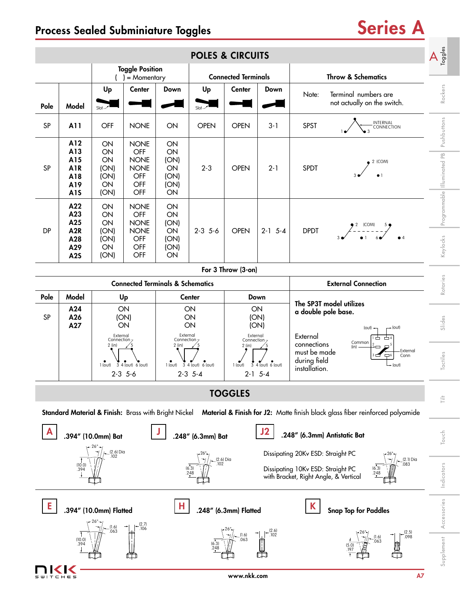## Process Sealed Subminiature Toggles Series A

|                                  |                                                                   |                                              |                                                                       |                                                                                                             | <b>POLES &amp; CIRCUITS</b>         |                            |                                                                   |                                                                        |                                                                                                                                    | $A_{\frac{1}{2}}^{\frac{6}{5}}$ |  |
|----------------------------------|-------------------------------------------------------------------|----------------------------------------------|-----------------------------------------------------------------------|-------------------------------------------------------------------------------------------------------------|-------------------------------------|----------------------------|-------------------------------------------------------------------|------------------------------------------------------------------------|------------------------------------------------------------------------------------------------------------------------------------|---------------------------------|--|
|                                  |                                                                   |                                              | <b>Toggle Position</b><br>$=$ Momentary                               |                                                                                                             |                                     | <b>Connected Terminals</b> |                                                                   | <b>Throw &amp; Schematics</b>                                          |                                                                                                                                    |                                 |  |
| Pole                             | Model                                                             | Up<br>$Slot-$                                | <b>Center</b>                                                         | Down                                                                                                        | Up<br>$Slot -$                      | Center                     | Down                                                              | Note:                                                                  | Terminal numbers are<br>not actually on the switch.                                                                                | Rockers                         |  |
| SP                               | A11                                                               | OFF                                          | <b>NONE</b>                                                           | ON                                                                                                          | <b>OPEN</b>                         | <b>OPEN</b>                | $3 - 1$                                                           | <b>SPST</b>                                                            | INTERNAL<br>CONNECTION                                                                                                             | Pushbuttons                     |  |
| SP                               | A12<br>A13<br>A15<br><b>A1R</b><br>A18<br>A19<br>A <sub>1</sub> S | ON<br>ON<br>ON<br>(ON)<br>(ON)<br>ON<br>(ON) | <b>NONE</b><br>OFF<br><b>NONE</b><br><b>NONE</b><br>OFF<br>OFF<br>OFF |                                                                                                             | $2 - 3$                             | <b>OPEN</b>                | $2 - 1$                                                           |                                                                        | 2 (COM)                                                                                                                            | Programmable        uminated PB |  |
| <b>DP</b>                        | A22<br>A23<br>A25<br>A <sub>2R</sub><br>A28<br>A29<br><b>A2S</b>  | ON<br>ON<br>ON<br>(ON)<br>(ON)<br>ON<br>(ON) | <b>NONE</b><br>OFF<br><b>NONE</b><br><b>NONE</b><br>OFF<br>OFF<br>OFF | ON<br>ON<br>(ON)<br>ON<br>(ON)<br>(ON)<br>ON                                                                | $2-3$ 5-6                           | <b>OPEN</b>                | $2-1$ 5-4                                                         | <b>DPDT</b>                                                            | $22$ (COM) 5<br>--------<br>0 1 6                                                                                                  | Keylocks                        |  |
|                                  |                                                                   |                                              |                                                                       |                                                                                                             |                                     | For 3 Throw (3-on)         |                                                                   |                                                                        |                                                                                                                                    |                                 |  |
|                                  |                                                                   |                                              |                                                                       | <b>Connected Terminals &amp; Schematics</b>                                                                 |                                     |                            |                                                                   |                                                                        | <b>External Connection</b>                                                                                                         | Rotaries                        |  |
| Pole<br>SP                       | Model<br>A24<br>A26<br>A27                                        | External<br>Connection <sub>7</sub>          | Up<br>ON<br>(ON)<br>ON                                                | External<br>Connection <sub>7</sub>                                                                         | <b>Center</b><br>ON<br>ON<br>ON     |                            | Down<br>ON<br>(ON)<br>(ON)<br>External<br>Connection <sub>7</sub> |                                                                        | The SP3T model utilizes<br>a double pole base.<br>$+$ (out)<br>(out) $\rightarrow$<br>▭                                            | Slides                          |  |
|                                  |                                                                   | $2$ (in)<br>1 (out)                          | 3 4 (out) 6 (out)<br>$2 - 3$ 5-6                                      | $2$ (in)<br>$2$ (in)<br>3 4 (out) 6 (out)<br>1 (out)<br>$\overline{3}$<br>1 (out)<br>$2-3$ 5-4<br>$2-1$ 5-4 |                                     |                            | $4$ (out) 6 (out)                                                 | connections<br>must be made<br>during field<br>installation.           | Common<br>(in)<br>External<br>Conn<br>⊊6<br>$\rightarrow$ (out)                                                                    | Tactiles                        |  |
|                                  |                                                                   |                                              |                                                                       |                                                                                                             |                                     | <b>TOGGLES</b>             |                                                                   |                                                                        |                                                                                                                                    | 言                               |  |
|                                  |                                                                   |                                              |                                                                       |                                                                                                             |                                     |                            |                                                                   |                                                                        | Standard Material & Finish: Brass with Bright Nickel Material & Finish for J2: Matte finish black glass fiber reinforced polyamide |                                 |  |
|                                  |                                                                   | .394" (10.0mm) Bat                           |                                                                       |                                                                                                             | .248" (6.3mm) Bat                   |                            |                                                                   |                                                                        | .248" (6.3mm) Antistatic Bat                                                                                                       | Touch                           |  |
|                                  | (10.0)<br>.394                                                    | (2.6) Dia<br>.102                            |                                                                       |                                                                                                             | $(2.6)$ Dia<br>102<br>(6.3)<br>.248 |                            |                                                                   | Dissipating 20Kv ESD: Straight PC<br>Dissipating 10Kv ESD: Straight PC | $(2.1)$ Dia<br>.083<br>(6.3)<br>248<br>with Bracket, Right Angle, & Vertical                                                       | Indicators                      |  |
| Е<br>H<br>.394" (10.0mm) Flatted |                                                                   |                                              |                                                                       |                                                                                                             |                                     | .248" (6.3mm) Flatted      |                                                                   | K                                                                      | <b>Snap Top for Paddles</b>                                                                                                        | Accessories                     |  |
|                                  | $(10.0)$<br>.394                                                  | $(1.6)$<br>.063                              | $(2.7)$<br>.106                                                       |                                                                                                             | (6.3)<br>248                        | $(1.6)$<br>.063            | (2.6)<br>.102                                                     |                                                                        | (2.5)<br>.098<br>(1.6)<br>.063<br>(5.0)<br>197                                                                                     | Supplement                      |  |
|                                  |                                                                   |                                              |                                                                       |                                                                                                             |                                     | www.nkk.com                |                                                                   |                                                                        | A7                                                                                                                                 |                                 |  |

www.nkk.com A7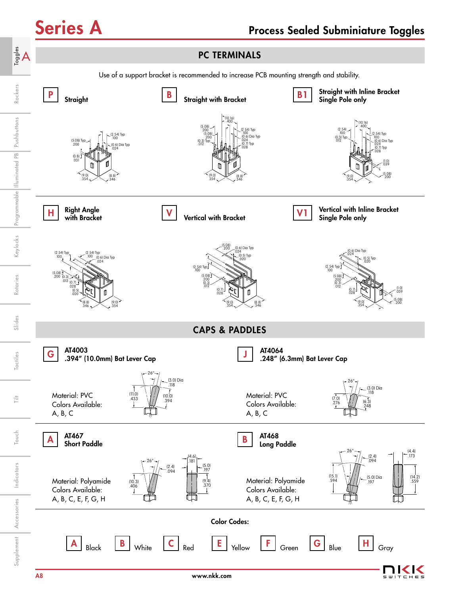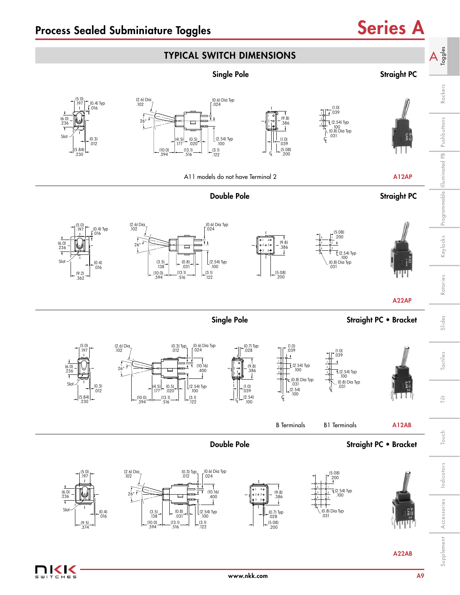